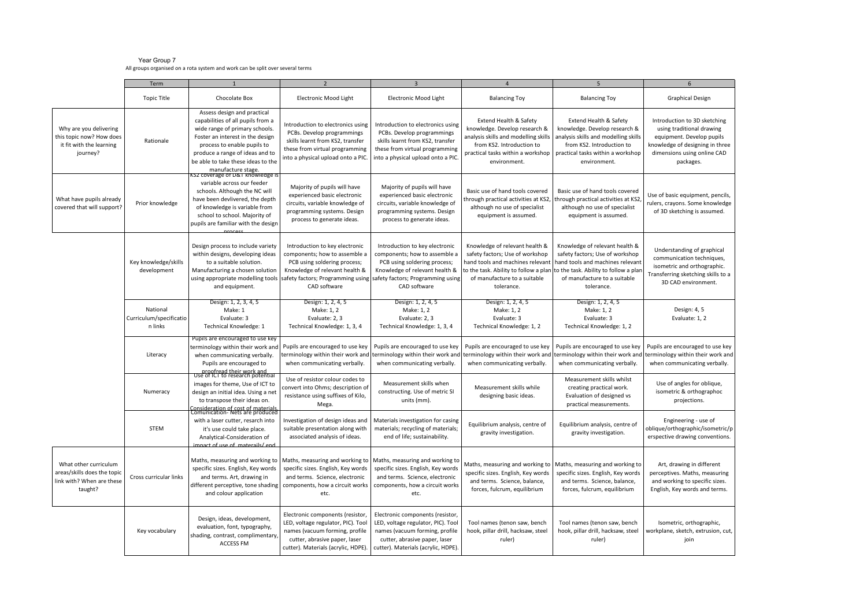## Year Group 7 All groups organised on a rota system and work can be split over several terms

|                                                                                              | Term<br>$\overline{\phantom{a}}$               |                                                                                                                                                                                                                                                                                                      | $\overline{\mathbf{z}}$                                                                                                                                                                | $\overline{a}$                                                                                                                                                                         | 5                                                                                                                                                                                 | 6                                                                                                                                                                                                                                  |                                                                                                                                                                       |
|----------------------------------------------------------------------------------------------|------------------------------------------------|------------------------------------------------------------------------------------------------------------------------------------------------------------------------------------------------------------------------------------------------------------------------------------------------------|----------------------------------------------------------------------------------------------------------------------------------------------------------------------------------------|----------------------------------------------------------------------------------------------------------------------------------------------------------------------------------------|-----------------------------------------------------------------------------------------------------------------------------------------------------------------------------------|------------------------------------------------------------------------------------------------------------------------------------------------------------------------------------------------------------------------------------|-----------------------------------------------------------------------------------------------------------------------------------------------------------------------|
|                                                                                              | <b>Topic Title</b>                             | Chocolate Box                                                                                                                                                                                                                                                                                        | <b>Electronic Mood Light</b>                                                                                                                                                           | <b>Electronic Mood Light</b>                                                                                                                                                           | <b>Balancing Toy</b>                                                                                                                                                              | <b>Balancing Toy</b>                                                                                                                                                                                                               | <b>Graphical Design</b>                                                                                                                                               |
| Why are you delivering<br>this topic now? How does<br>it fit with the learning<br>journey?   | Rationale                                      | Assess design and practical<br>capabilities of all pupils from a<br>wide range of primary schools.<br>Foster an interest in the design<br>process to enable pupils to<br>produce a range of ideas and to<br>be able to take these ideas to the<br>manufacture stage.<br>Sz coverage or D&T knowledge | Introduction to electronics using<br>PCBs. Develop programmings<br>skills learnt from KS2, transfer<br>these from virtual programming<br>into a physical upload onto a PIC.            | Introduction to electronics using<br>PCBs. Develop programmings<br>skills learnt from KS2, transfer<br>these from virtual programming<br>into a physical upload onto a PIC.            | Extend Health & Safety<br>knowledge. Develop research &<br>analysis skills and modelling skills<br>from KS2. Introduction to<br>practical tasks within a workshop<br>environment. | Extend Health & Safety<br>knowledge. Develop research &<br>analysis skills and modelling skills<br>from KS2. Introduction to<br>practical tasks within a workshop<br>environment.                                                  | Introduction to 3D sketching<br>using traditional drawing<br>equipment. Develop pupils<br>knowledge of designing in three<br>dimensions using online CAD<br>packages. |
| What have pupils already<br>covered that will support?                                       | Prior knowledge                                | variable across our feeder<br>schools. Although the NC will<br>have been devlivered, the depth<br>of knowledge is variable from<br>school to school. Majority of<br>pupils are familiar with the design                                                                                              | Majority of pupils will have<br>experienced basic electronic<br>circuits, variable knowledge of<br>programming systems. Design<br>process to generate ideas.                           | Majority of pupils will have<br>experienced basic electronic<br>circuits, variable knowledge of<br>programming systems. Design<br>process to generate ideas.                           | Basic use of hand tools covered<br>hrough practical activities at KS2,<br>although no use of specialist<br>equipment is assumed.                                                  | Basic use of hand tools covered<br>through practical activities at KS2<br>although no use of specialist<br>equipment is assumed.                                                                                                   | Use of basic equipment, pencils,<br>rulers, crayons. Some knowledge<br>of 3D sketching is assumed.                                                                    |
|                                                                                              | Key knowledge/skills<br>development            | Design process to include variety<br>within designs, developing ideas<br>to a suitable solution.<br>Manufacturing a chosen solution<br>using appropriate modelling tools<br>and equipment.                                                                                                           | Introduction to key electronic<br>components; how to assemble a<br>PCB using soldering process;<br>Knowledge of relevant health &<br>safety factors; Programming using<br>CAD software | Introduction to key electronic<br>components; how to assemble a<br>PCB using soldering process;<br>Knowledge of relevant health &<br>safety factors; Programming using<br>CAD software | Knowledge of relevant health &<br>safety factors; Use of workshop<br>and tools and machines relevant<br>of manufacture to a suitable<br>tolerance.                                | Knowledge of relevant health &<br>safety factors; Use of workshop<br>hand tools and machines relevant<br>to the task. Ability to follow a plan to the task. Ability to follow a plan<br>of manufacture to a suitable<br>tolerance. | Understanding of graphical<br>communication techniques,<br>isometric and orthographic.<br>Transferring sketching skills to a<br>3D CAD environment.                   |
|                                                                                              | National<br>Curriculum/specificatio<br>n links | Design: 1, 2, 3, 4, 5<br>Make: 1<br>Evaluate: 3<br>Technical Knowledge: 1                                                                                                                                                                                                                            | Design: 1, 2, 4, 5<br>Make: 1, 2<br>Evaluate: 2, 3<br>Technical Knowledge: 1, 3, 4                                                                                                     | Design: 1, 2, 4, 5<br>Make: 1, 2<br>Evaluate: 2, 3<br>Technical Knowledge: 1, 3, 4                                                                                                     | Design: 1, 2, 4, 5<br>Make: 1, 2<br>Evaluate: 3<br>Technical Knowledge: 1, 2                                                                                                      | Design: 1, 2, 4, 5<br>Make: 1, 2<br>Evaluate: 3<br>Technical Knowledge: 1, 2                                                                                                                                                       | Design: 4, 5<br>Evaluate: 1, 2                                                                                                                                        |
|                                                                                              | Literacy                                       | Pupils are encouraged to use key<br>terminology within their work and<br>when communicating verbally.<br>Pupils are encouraged to<br>proofread their work and                                                                                                                                        | Pupils are encouraged to use key<br>terminology within their work and<br>when communicating verbally.                                                                                  | Pupils are encouraged to use key<br>when communicating verbally.                                                                                                                       | Pupils are encouraged to use key<br>terminology within their work and terminology within their work and<br>when communicating verbally.                                           | Pupils are encouraged to use key<br>terminology within their work and<br>when communicating verbally.                                                                                                                              | Pupils are encouraged to use key<br>terminology within their work and<br>when communicating verbally.                                                                 |
|                                                                                              | Numeracy                                       | Use of ICT to research potential<br>images for theme, Use of ICT to<br>design an initial idea. Using a net<br>to transpose their ideas on.<br>Consideration of cost of materials<br>Comunication- Nets are produced                                                                                  | Use of resistor colour codes to<br>convert into Ohms; description of<br>resistance using suffixes of Kilo,<br>Mega.                                                                    | Measurement skills when<br>constructing. Use of metric SI<br>units (mm).                                                                                                               | Measurement skills while<br>designing basic ideas.                                                                                                                                | Measurement skills whilst<br>creating practical work.<br>Evaluation of designed vs<br>practical measurements.                                                                                                                      | Use of angles for oblique,<br>isometric & orthographoc<br>projections.                                                                                                |
|                                                                                              | <b>STEM</b>                                    | with a laser cutter, resarch into<br>it's use could take place.<br>Analytical-Consideration of<br>impact of use of materails/end                                                                                                                                                                     | Investigation of design ideas and<br>suitable presentation along with<br>associated analysis of ideas.                                                                                 | Materials investigation for casing<br>materials; recycling of materials;<br>end of life; sustainability.                                                                               | Equilibrium analysis, centre of<br>gravity investigation.                                                                                                                         | Equilibrium analysis, centre of<br>gravity investigation.                                                                                                                                                                          | Engineering - use of<br>oblique/orthographic/isometric/p<br>erspective drawing conventions.                                                                           |
| What other curriculum<br>areas/skills does the topic<br>link with? When are these<br>taught? | Cross curricular links                         | Maths, measuring and working to<br>specific sizes. English, Key words<br>and terms. Art, drawing in<br>different perceptive, tone shading<br>and colour application                                                                                                                                  | Maths, measuring and working to<br>specific sizes. English, Key words<br>and terms. Science, electronic<br>components, how a circuit works<br>etc.                                     | Maths, measuring and working to<br>specific sizes. English, Key words<br>and terms. Science, electronic<br>components, how a circuit works<br>etc.                                     | Maths, measuring and working to<br>specific sizes. English, Key words<br>and terms. Science, balance,<br>forces, fulcrum, equilibrium                                             | Maths, measuring and working to<br>specific sizes. English, Key words<br>and terms. Science, balance,<br>forces, fulcrum, equilibrium                                                                                              | Art, drawing in different<br>perceptives. Maths, measuring<br>and working to specific sizes.<br>English, Key words and terms.                                         |
|                                                                                              | Key vocabulary                                 | Design, ideas, development,<br>evaluation, font, typography,<br>shading, contrast, complimentary,<br>ACCESS FM                                                                                                                                                                                       | Electronic components (resistor,<br>LED, voltage regulator, PIC). Tool<br>names (vacuum forming, profile<br>cutter, abrasive paper, laser<br>cutter). Materials (acrylic, HDPE).       | Electronic components (resistor,<br>LED, voltage regulator, PIC). Tool<br>names (vacuum forming, profile<br>cutter, abrasive paper, laser<br>cutter). Materials (acrylic, HDPE).       | Tool names (tenon saw, bench<br>hook, pillar drill, hacksaw, steel<br>ruler)                                                                                                      | Tool names (tenon saw, bench<br>hook, pillar drill, hacksaw, steel<br>ruler)                                                                                                                                                       | Isometric, orthographic,<br>workplane, sketch, extrusion, cut,<br>join                                                                                                |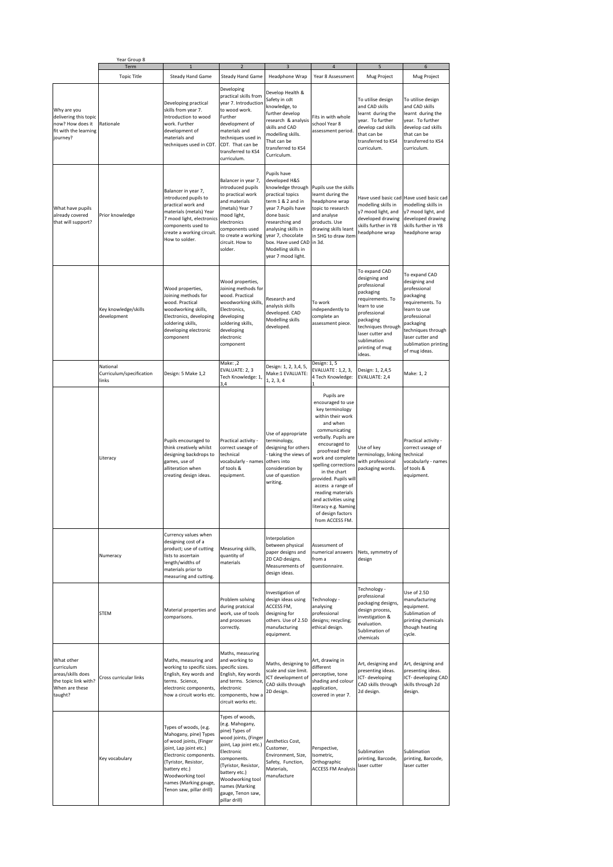|                                                           |                                                                                                    | Year Group 8<br>Term                 |                                                                                                                                                                                                                                                 |                                                                                                                                                                                                                                                          |                                                                                                                                                                                                                                                                   |                                                                                                                                                                                                                                                                                                                                                                                                               |                                                                                                                                                                                                                    |                                                                                                                                                                                                                 |  |
|-----------------------------------------------------------|----------------------------------------------------------------------------------------------------|--------------------------------------|-------------------------------------------------------------------------------------------------------------------------------------------------------------------------------------------------------------------------------------------------|----------------------------------------------------------------------------------------------------------------------------------------------------------------------------------------------------------------------------------------------------------|-------------------------------------------------------------------------------------------------------------------------------------------------------------------------------------------------------------------------------------------------------------------|---------------------------------------------------------------------------------------------------------------------------------------------------------------------------------------------------------------------------------------------------------------------------------------------------------------------------------------------------------------------------------------------------------------|--------------------------------------------------------------------------------------------------------------------------------------------------------------------------------------------------------------------|-----------------------------------------------------------------------------------------------------------------------------------------------------------------------------------------------------------------|--|
|                                                           |                                                                                                    | <b>Topic Title</b>                   |                                                                                                                                                                                                                                                 |                                                                                                                                                                                                                                                          | Headphone Wrap                                                                                                                                                                                                                                                    | Year 8 Assessment                                                                                                                                                                                                                                                                                                                                                                                             |                                                                                                                                                                                                                    |                                                                                                                                                                                                                 |  |
|                                                           | Why are you<br>delivering this topic<br>now? How does it<br>fit with the learning<br>journey?      | Rationale                            | Steady Hand Game<br>Developing practical<br>skills from year 7.<br>Introduction to wood<br>work. Further<br>development of<br>materials and<br>techniques used in CDT.                                                                          | Steady Hand Game<br>Developing<br>practical skills from<br>year 7. Introduction<br>to wood work.<br>Further<br>development of<br>materials and<br>techniques used in<br>CDT. That can be<br>transferred to KS4<br>curriculum.                            | Develop Health &<br>Safety in cdt<br>knowledge, to<br>further develop<br>research & analysis<br>skills and CAD<br>modelling skills.<br>That can be<br>transferred to KS4<br>Curriculum.                                                                           | Fits in with whole<br>school Year 8<br>assessment period.                                                                                                                                                                                                                                                                                                                                                     | Mug Project<br>To utilise design<br>and CAD skills<br>learnt during the<br>year. To further<br>develop cad skills<br>that can be<br>transferred to KS4<br>curriculum.                                              | Mug Project<br>To utilise design<br>and CAD skills<br>learnt during the<br>year. To further<br>develop cad skills<br>that can be<br>transferred to KS4<br>curriculum.                                           |  |
| What have pupils<br>already covered<br>that will support? |                                                                                                    | Prior knowledge                      | Balancer in year 7,<br>introduced pupils to<br>practical work and<br>materials (metals) Year<br>7 mood light, electronics<br>components used to<br>create a working circuit.<br>How to solder.                                                  | Balancer in year 7,<br>introduced pupils<br>to practical work<br>and materials<br>(metals) Year 7<br>mood light,<br>electronics<br>components used<br>to create a working<br>circuit. How to<br>solder.                                                  | Pupils have<br>developed H&S<br>knowledge through<br>practical topics<br>term 1 & 2 and in<br>year 7. Pupils have<br>done basic<br>researching and<br>analysing skills in<br>year 7, chocolate<br>box. Have used CAD<br>Modelling skills in<br>year 7 mood light. | Pupils use the skills<br>learnt during the<br>headphone wrap<br>topic to research<br>and analyse<br>products. Use<br>drawing skills leant<br>in SHG to draw item<br>in 3d.                                                                                                                                                                                                                                    | modelling skills in<br>y7 mood light, and<br>developed drawing<br>skills further in Y8<br>headphone wrap                                                                                                           | Have used basic cad Have used basic cad<br>modelling skills in<br>y7 mood light, and<br>developed drawing<br>skills further in Y8<br>headphone wrap                                                             |  |
|                                                           |                                                                                                    | Key knowledge/skills<br>development  | Wood properties,<br>Joining methods for<br>wood. Practical<br>woodworking skills,<br>Electronics, developing<br>soldering skills,<br>developing electronic<br>component                                                                         | Wood properties,<br>Joining methods for<br>wood. Practical<br>woodworking skills,<br>Electronics,<br>developing<br>soldering skills,<br>developing<br>electronic<br>component                                                                            | Research and<br>analysis skills<br>developed. CAD<br>Modelling skills<br>developed.                                                                                                                                                                               | To work<br>independently to<br>complete an<br>assessment piece.                                                                                                                                                                                                                                                                                                                                               | To expand CAD<br>designing and<br>professional<br>packaging<br>requirements. To<br>learn to use<br>professional<br>packaging<br>techniques through<br>laser cutter and<br>sublimation<br>printing of mug<br>ideas. | To expand CAD<br>designing and<br>professional<br>packaging<br>requirements. To<br>learn to use<br>professional<br>packaging<br>techniques through<br>laser cutter and<br>sublimation printing<br>of mug ideas. |  |
|                                                           |                                                                                                    | National<br>Curriculum/specification | Design: 5 Make 1,2                                                                                                                                                                                                                              | Make: ,2<br>EVALUATE: 2, 3                                                                                                                                                                                                                               | Design: 1, 2, 3,4, 5,<br>Make:1 EVALUATE:                                                                                                                                                                                                                         | Design: 1, 5<br>EVALUATE: 1,2, 3,                                                                                                                                                                                                                                                                                                                                                                             | Design: 1, 2,4,5                                                                                                                                                                                                   | Make: 1, 2                                                                                                                                                                                                      |  |
|                                                           |                                                                                                    | links<br>Literacy                    | Pupils encouraged to<br>think creatively whilst<br>designing backdrops to<br>games, use of<br>alliteration when<br>creating design ideas.                                                                                                       | Tech Knowledge: 1,<br>Practical activity -<br>correct useage of<br>technical<br>vocabularly - names<br>of tools &<br>equipment.                                                                                                                          | 1, 2, 3, 4<br>Use of appropriate<br>terminology,<br>designing for others<br>taking the views of<br>others into<br>consideration by<br>use of question<br>writing.                                                                                                 | 4 Tech Knowledge:<br>Pupils are<br>encouraged to use<br>key terminology<br>within their work<br>and when<br>communicating<br>verbally. Pupils are<br>encouraged to<br>proofread their<br>work and complete<br>spelling corrections<br>in the chart<br>provided. Pupils will<br>access a range of<br>reading materials<br>and activities using<br>literacy e.g. Naming<br>of design factors<br>from ACCESS FM. | EVALUATE: 2,4<br>Use of key<br>terminology, linking<br>with professional<br>packaging words.                                                                                                                       | Practical activity -<br>correct useage of<br>technical<br>vocabularly - names<br>of tools &<br>equipment.                                                                                                       |  |
|                                                           |                                                                                                    | Numeracy                             | Currency values when<br>designing cost of a<br>product; use of cutting<br>lists to ascertain<br>length/widths of<br>materials prior to<br>measuring and cutting.                                                                                | Measuring skills,<br>quantity of<br>materials                                                                                                                                                                                                            | Interpolation<br>between physical<br>paper designs and<br>2D CAD designs.<br>Measurements of<br>design ideas.                                                                                                                                                     | Assessment of<br>numerical answers<br>from a<br>questionnaire.                                                                                                                                                                                                                                                                                                                                                | Nets, symmetry of<br>design                                                                                                                                                                                        |                                                                                                                                                                                                                 |  |
|                                                           |                                                                                                    | <b>STEM</b>                          | Material properties and<br>comparisons.                                                                                                                                                                                                         | Problem solving<br>during pratcical<br>work, use of tools<br>and processes<br>correctly.                                                                                                                                                                 | Investigation of<br>design ideas using<br>ACCESS FM,<br>designing for<br>others. Use of 2.5D<br>manufacturing<br>equipment.                                                                                                                                       | Technology -<br>analysing<br>professional<br>designs; recycling;<br>ethical design.                                                                                                                                                                                                                                                                                                                           | Technology -<br>professional<br>packaging designs,<br>design process,<br>investigation &<br>evaluation.<br>Sublimation of<br>chemicals                                                                             | Use of 2.5D<br>manufacturing<br>equipment.<br>Sublimation of<br>printing chemicals<br>though heating<br>cycle.                                                                                                  |  |
|                                                           | What other<br>curriculum<br>areas/skills does<br>the topic link with?<br>When are these<br>taught? | Cross curricular links               | Maths, measuring and<br>working to specific sizes<br>English, Key words and<br>terms. Science,<br>electronic components,<br>how a circuit works etc.                                                                                            | Maths, measuring<br>and working to<br>specific sizes.<br>English, Key words<br>and terms. Science,<br>electronic<br>components, how a<br>circuit works etc.                                                                                              | Maths, designing to<br>scale and size limit.<br>ICT development of<br>CAD skills through<br>2D design.                                                                                                                                                            | Art, drawing in<br>different<br>perceptive, tone<br>shading and colour<br>application,<br>covered in year 7.                                                                                                                                                                                                                                                                                                  | Art, designing and<br>presenting ideas.<br>ICT-developing<br>CAD skills through<br>2d design.                                                                                                                      | Art, designing and<br>presenting ideas.<br>ICT- developing CAD<br>skills through 2d<br>design.                                                                                                                  |  |
|                                                           |                                                                                                    | Key vocabulary                       | Types of woods, (e.g.<br>Mahogany, pine) Types<br>of wood joints, (Finger<br>joint, Lap joint etc.)<br>Electronic components.<br>(Tyristor, Resistor,<br>battery etc.)<br>Woodworking tool<br>names (Marking gauge,<br>Tenon saw, pillar drill) | Types of woods,<br>(e.g. Mahogany,<br>pine) Types of<br>wood joints, (Finger<br>joint, Lap joint etc.)<br>Electronic<br>components.<br>(Tyristor, Resistor,<br>battery etc.)<br>Woodworking tool<br>names (Marking<br>gauge, Tenon saw,<br>pillar drill) | Aesthetics Cost,<br>Customer,<br>Environment, Size,<br>Safety, Function,<br>Materials,<br>manufacture                                                                                                                                                             | Perspective,<br>Isometric,<br>Orthographic<br><b>ACCESS FM Analysis</b>                                                                                                                                                                                                                                                                                                                                       | Sublimation<br>printing, Barcode,<br>laser cutter                                                                                                                                                                  | Sublimation<br>printing, Barcode,<br>laser cutter                                                                                                                                                               |  |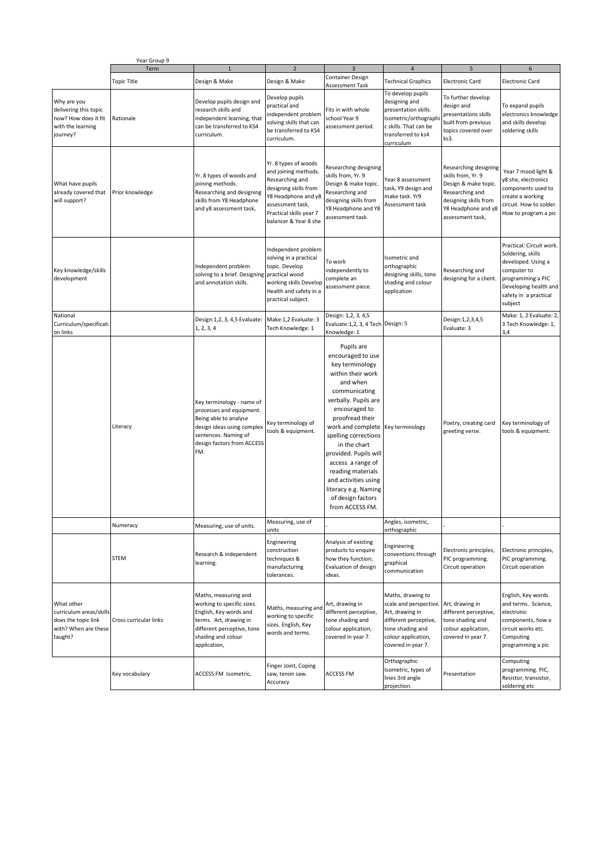|                                                                                                 | Year Group 9           |                                                                                                                                                                            |                                                                                                                                                                                         |                                                                                                                                                                                                                                                                                                                                                                                          |                                                                                                                                                                          |                                                                                                                                                            |                                                                                                                                                                      |
|-------------------------------------------------------------------------------------------------|------------------------|----------------------------------------------------------------------------------------------------------------------------------------------------------------------------|-----------------------------------------------------------------------------------------------------------------------------------------------------------------------------------------|------------------------------------------------------------------------------------------------------------------------------------------------------------------------------------------------------------------------------------------------------------------------------------------------------------------------------------------------------------------------------------------|--------------------------------------------------------------------------------------------------------------------------------------------------------------------------|------------------------------------------------------------------------------------------------------------------------------------------------------------|----------------------------------------------------------------------------------------------------------------------------------------------------------------------|
|                                                                                                 | Term                   | $\mathbf{1}$                                                                                                                                                               | $\overline{2}$                                                                                                                                                                          | $\overline{3}$                                                                                                                                                                                                                                                                                                                                                                           | $\overline{4}$                                                                                                                                                           | 5                                                                                                                                                          | 6                                                                                                                                                                    |
|                                                                                                 | <b>Topic Title</b>     | Design & Make                                                                                                                                                              | Design & Make                                                                                                                                                                           | Container Design<br>Assessment Task                                                                                                                                                                                                                                                                                                                                                      | <b>Technical Graphics</b>                                                                                                                                                | <b>Electronic Card</b>                                                                                                                                     | <b>Electronic Card</b>                                                                                                                                               |
| Why are you<br>delivering this topic<br>now? How does it fit<br>with the learning<br>journey?   | Rationale              | Develop pupils design and<br>research skills and<br>independent learning, that<br>can be transferred to KS4<br>curriculum.                                                 | Develop pupils<br>practical and<br>independent problem<br>solving skills that can<br>be transferred to KS4<br>curriculum.                                                               | Fits in with whole<br>school Year 9<br>assessment period.                                                                                                                                                                                                                                                                                                                                | To develop pupils<br>designing and<br>presentation skills.<br>Isometric/orthographi<br>c skills. That can be<br>transferred to ks4<br>curriculum                         | To further develop<br>design and<br>presentations skills<br>built from previous<br>topics covered over<br>ks3.                                             | To expand pupils<br>electronics knowledge<br>and skills develop<br>soldering skills                                                                                  |
| What have pupils<br>already covered that<br>will support?                                       | Prior knowledge        | Yr. 8 types of woods and<br>joining methods.<br>Researching and designing<br>skills from Y8 Headphone<br>and y8 assessment task,                                           | Yr. 8 types of woods<br>and joining methods.<br>Researching and<br>designing skills from<br>Y8 Headphone and y8<br>assessment task,<br>Practical skills year 7<br>balancer & Year 8 she | Researching designing<br>skills from, Yr. 9<br>Design & make topic.<br>Researching and<br>designing skills from<br>Y8 Headphone and Y8<br>assessment task.                                                                                                                                                                                                                               | Year 8 assessment<br>task, Y9 design and<br>make task. Yr9<br>Assessment task                                                                                            | Researching designing<br>skills from, Yr. 9<br>Design & make topic.<br>Researching and<br>designing skills from<br>Y8 Headphone and y8<br>assessment task, | Year 7 mood light &<br>v8 she, electronics<br>components used to<br>create a working<br>circuit. How to solder.<br>How to program a pic                              |
| Key knowledge/skills<br>development                                                             |                        | Independent problem<br>solving to a brief. Designing<br>and annotation skills.                                                                                             | Independent problem<br>solving in a practical<br>topic. Develop<br>practical wood<br>working skills Develop<br>Health and safety in a<br>practical subject.                             | To work<br>independently to<br>complete an<br>assessment piece.                                                                                                                                                                                                                                                                                                                          | Isometric and<br>orthographic<br>designing skills, tone<br>shading and colour<br>application                                                                             | Researching and<br>designing for a client.                                                                                                                 | Practical: Circuit work.<br>Soldering, skills<br>developed. Using a<br>computer to<br>programming a PIC<br>Developing health and<br>safety in a practical<br>subject |
| National<br>Curriculum/specificati<br>on links                                                  |                        | Design:1,2, 3, 4,5 Evaluate:<br>1, 2, 3, 4                                                                                                                                 | Make:1,2 Evaluate: 3<br>Tech Knowledge: 1                                                                                                                                               | Design: 1,2, 3, 4,5<br>Evaluate: 1, 2, 3, 4 Tech Design: 5<br>Knowledge: 1                                                                                                                                                                                                                                                                                                               |                                                                                                                                                                          | Design:1,2,3,4,5<br>Evaluate: 3                                                                                                                            | Make: 1, 2 Evaluate: 2,<br>3 Tech Knowledge: 1,<br>3,4                                                                                                               |
|                                                                                                 | Literacy               | Key terminology - name of<br>processes and equipment.<br>Being able to analyse<br>design ideas using complex<br>sentences. Naming of<br>design factors from ACCESS<br>FM.  | Key terminology of<br>tools & equipment.                                                                                                                                                | Pupils are<br>encouraged to use<br>key terminology<br>within their work<br>and when<br>communicating<br>verbally. Pupils are<br>encouraged to<br>proofread their<br>work and complete<br>spelling corrections<br>in the chart<br>provided. Pupils will<br>access a range of<br>reading materials<br>and activities using<br>literacy e.g. Naming<br>of design factors<br>from ACCESS FM. | Key terminology                                                                                                                                                          | Poetry, creating card<br>greeting verse.                                                                                                                   | Key terminology of<br>tools & equipment.                                                                                                                             |
|                                                                                                 | Numeracy               | Measuring, use of units.                                                                                                                                                   | Measuring, use of                                                                                                                                                                       |                                                                                                                                                                                                                                                                                                                                                                                          | Angies, isometric,                                                                                                                                                       |                                                                                                                                                            |                                                                                                                                                                      |
|                                                                                                 | <b>STEM</b>            | Research & independent<br>learning.                                                                                                                                        | units<br>Engineering<br>construction<br>techniques &<br>manufacturing<br>tolerances.                                                                                                    | Analysis of existing<br>products to enquire<br>how they function;<br>Evaluation of design<br>ideas.                                                                                                                                                                                                                                                                                      | orthographic<br>Engineering<br>conventions through<br>graphical<br>communication                                                                                         | Electronic principles,<br>PIC programming.<br>Circuit operation                                                                                            | Electronic principles,<br>PIC programming.<br>Circuit operation                                                                                                      |
| What other<br>curriculum areas/skills<br>does the topic link<br>with? When are these<br>taught? | Cross curricular links | Maths, measuring and<br>working to specific sizes.<br>English, Key words and<br>terms. Art, drawing in<br>different perceptive, tone<br>shading and colour<br>application, | Maths, measuring and<br>working to specific<br>sizes. English, Key<br>words and terms.                                                                                                  | Art, drawing in<br>different perceptive,<br>tone shading and<br>colour application,<br>covered in year 7.                                                                                                                                                                                                                                                                                | Maths, drawing to<br>scale and perspective. Art, drawing in<br>Art, drawing in<br>different perceptive,<br>tone shading and<br>colour application,<br>covered in year 7. | different perceptive,<br>tone shading and<br>colour application,<br>covered in year 7.                                                                     | English, Key words<br>and terms. Science,<br>electronic<br>components, how a<br>circuit works etc.<br>Computing<br>programming a pic                                 |
|                                                                                                 | Key vocabulary         | ACCESS FM Isometric,                                                                                                                                                       | Finger Joint, Coping<br>saw, tenon saw.<br>Accuracy                                                                                                                                     | <b>ACCESS FM</b>                                                                                                                                                                                                                                                                                                                                                                         | Orthographic<br>Isometric, types of<br>lines 3rd angle<br>projection.                                                                                                    | Presentation                                                                                                                                               | Computing<br>programming. PIC,<br>Resistor, transistor,<br>soldering etc                                                                                             |